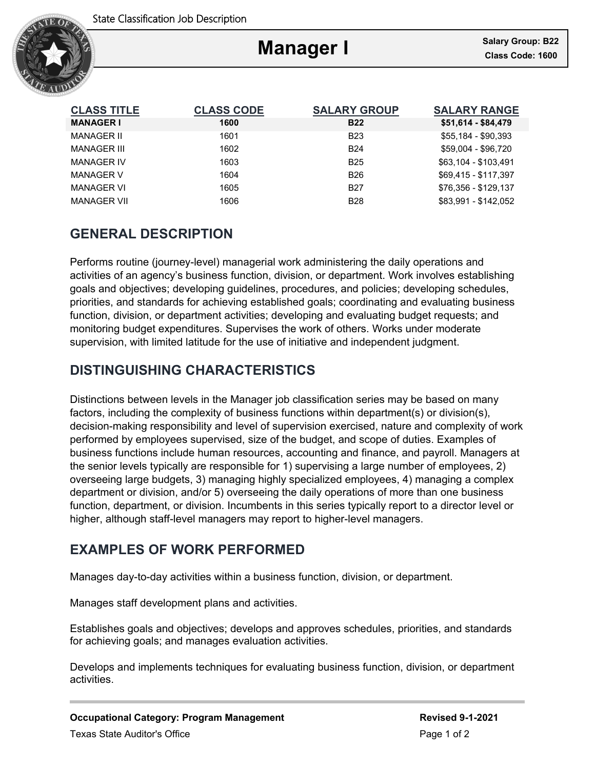

Ξ

| <b>CLASS TITLE</b> | <b>CLASS CODE</b> | <b>SALARY GROUP</b> | <b>SALARY RANGE</b>  |
|--------------------|-------------------|---------------------|----------------------|
| <b>MANAGER I</b>   | 1600              | <b>B22</b>          | \$51,614 - \$84,479  |
| <b>MANAGER II</b>  | 1601              | <b>B23</b>          | \$55.184 - \$90.393  |
| <b>MANAGER III</b> | 1602              | <b>B24</b>          | \$59,004 - \$96,720  |
| <b>MANAGER IV</b>  | 1603              | <b>B25</b>          | \$63,104 - \$103.491 |
| <b>MANAGER V</b>   | 1604              | <b>B26</b>          | \$69.415 - \$117.397 |
| <b>MANAGER VI</b>  | 1605              | <b>B27</b>          | \$76.356 - \$129.137 |
| <b>MANAGER VII</b> | 1606              | <b>B28</b>          | \$83,991 - \$142,052 |

# **GENERAL DESCRIPTION**

Performs routine (journey-level) managerial work administering the daily operations and activities of an agency's business function, division, or department. Work involves establishing goals and objectives; developing guidelines, procedures, and policies; developing schedules, priorities, and standards for achieving established goals; coordinating and evaluating business function, division, or department activities; developing and evaluating budget requests; and monitoring budget expenditures. Supervises the work of others. Works under moderate supervision, with limited latitude for the use of initiative and independent judgment.

# **DISTINGUISHING CHARACTERISTICS**

Distinctions between levels in the Manager job classification series may be based on many factors, including the complexity of business functions within department(s) or division(s), decision-making responsibility and level of supervision exercised, nature and complexity of work performed by employees supervised, size of the budget, and scope of duties. Examples of business functions include human resources, accounting and finance, and payroll. Managers at the senior levels typically are responsible for 1) supervising a large number of employees, 2) overseeing large budgets, 3) managing highly specialized employees, 4) managing a complex department or division, and/or 5) overseeing the daily operations of more than one business function, department, or division. Incumbents in this series typically report to a director level or higher, although staff-level managers may report to higher-level managers.

# **EXAMPLES OF WORK PERFORMED**

Manages day-to-day activities within a business function, division, or department.

Manages staff development plans and activities.

Establishes goals and objectives; develops and approves schedules, priorities, and standards for achieving goals; and manages evaluation activities.

Develops and implements techniques for evaluating business function, division, or department activities.